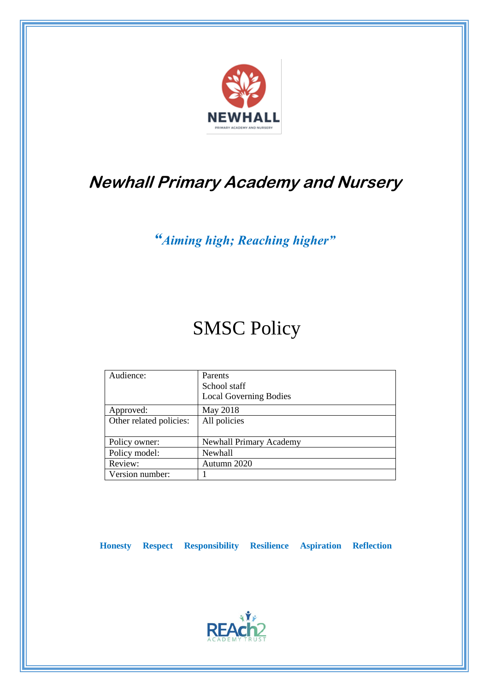

## **Newhall Primary Academy and Nursery**

*"Aiming high; Reaching higher"*

# SMSC Policy

| Audience:               | Parents<br>School staff       |
|-------------------------|-------------------------------|
|                         | <b>Local Governing Bodies</b> |
| Approved:               | May 2018                      |
| Other related policies: | All policies                  |
|                         |                               |
| Policy owner:           | Newhall Primary Academy       |
| Policy model:           | <b>Newhall</b>                |
| Review:                 | Autumn 2020                   |
| Version number:         |                               |

 **Honesty Respect Responsibility Resilience Aspiration Reflection**

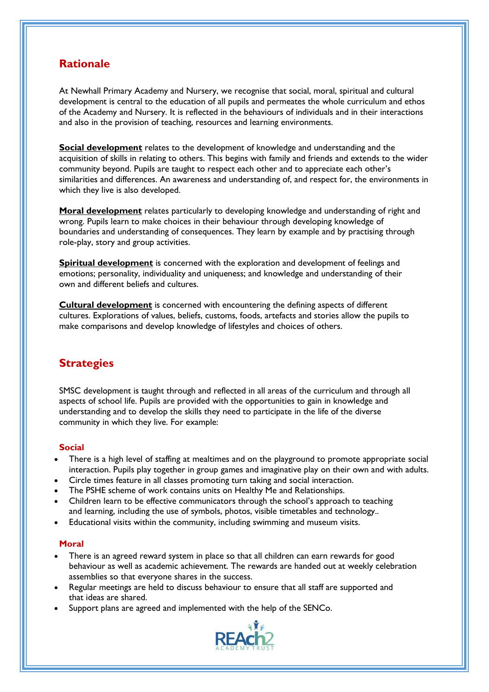## **Rationale**

At Newhall Primary Academy and Nursery, we recognise that social, moral, spiritual and cultural development is central to the education of all pupils and permeates the whole curriculum and ethos of the Academy and Nursery. It is reflected in the behaviours of individuals and in their interactions and also in the provision of teaching, resources and learning environments.

**Social development** relates to the development of knowledge and understanding and the acquisition of skills in relating to others. This begins with family and friends and extends to the wider community beyond. Pupils are taught to respect each other and to appreciate each other's similarities and differences. An awareness and understanding of, and respect for, the environments in which they live is also developed.

**Moral development** relates particularly to developing knowledge and understanding of right and wrong. Pupils learn to make choices in their behaviour through developing knowledge of boundaries and understanding of consequences. They learn by example and by practising through role-play, story and group activities.

**Spiritual development** is concerned with the exploration and development of feelings and emotions; personality, individuality and uniqueness; and knowledge and understanding of their own and different beliefs and cultures.

**Cultural development** is concerned with encountering the defining aspects of different cultures. Explorations of values, beliefs, customs, foods, artefacts and stories allow the pupils to make comparisons and develop knowledge of lifestyles and choices of others.

### **Strategies**

SMSC development is taught through and reflected in all areas of the curriculum and through all aspects of school life. Pupils are provided with the opportunities to gain in knowledge and understanding and to develop the skills they need to participate in the life of the diverse community in which they live. For example:

#### **Social**

- There is a high level of staffing at mealtimes and on the playground to promote appropriate social interaction. Pupils play together in group games and imaginative play on their own and with adults.
- Circle times feature in all classes promoting turn taking and social interaction.
- The PSHE scheme of work contains units on Healthy Me and Relationships.
- Children learn to be effective communicators through the school's approach to teaching and learning, including the use of symbols, photos, visible timetables and technology..
- Educational visits within the community, including swimming and museum visits.

#### **Moral**

- There is an agreed reward system in place so that all children can earn rewards for good behaviour as well as academic achievement. The rewards are handed out at weekly celebration assemblies so that everyone shares in the success.
- Regular meetings are held to discuss behaviour to ensure that all staff are supported and that ideas are shared.
- Support plans are agreed and implemented with the help of the SENCo.